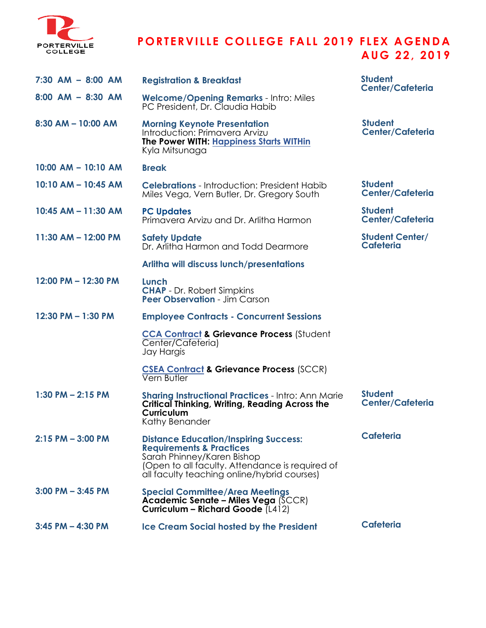

## **P ORT ER VI L L E C O L L EG E FAL L 2 0 1 9 F L EX A GEND A AU G 2 2 , 2 0 1 9**

| 7:30 AM - 8:00 AM       | <b>Registration &amp; Breakfast</b>                                                                                                                                                                                 | <b>Student</b><br><b>Center/Cafeteria</b>  |
|-------------------------|---------------------------------------------------------------------------------------------------------------------------------------------------------------------------------------------------------------------|--------------------------------------------|
| $8:00$ AM $-$ 8:30 AM   | <b>Welcome/Opening Remarks - Intro: Miles</b><br>PC President, Dr. Claudia Habib                                                                                                                                    |                                            |
| $8:30$ AM - 10:00 AM    | <b>Morning Keynote Presentation</b><br>Introduction: Primavera Arvizu<br><b>The Power WITH: Happiness Starts WITHin</b><br>Kyla Mitsunaga                                                                           | <b>Student</b><br><b>Center/Cafeteria</b>  |
| $10:00$ AM $- 10:10$ AM | <b>Break</b>                                                                                                                                                                                                        |                                            |
| 10:10 AM - 10:45 AM     | <b>Celebrations</b> - Introduction: President Habib<br>Miles Vega, Vern Butler, Dr. Gregory South                                                                                                                   | <b>Student</b><br><b>Center/Cafeteria</b>  |
| 10:45 AM - 11:30 AM     | <b>PC Updates</b><br>Primavera Arvizu and Dr. Arlitha Harmon                                                                                                                                                        | <b>Student</b><br><b>Center/Cafeteria</b>  |
| 11:30 AM - 12:00 PM     | <b>Safety Update</b><br>Dr. Arlitha Harmon and Todd Dearmore                                                                                                                                                        | <b>Student Center/</b><br><b>Cafeteria</b> |
|                         | <b>Arlitha will discuss lunch/presentations</b>                                                                                                                                                                     |                                            |
| 12:00 PM - 12:30 PM     | Lunch<br><b>CHAP</b> - Dr. Robert Simpkins<br><b>Peer Observation - Jim Carson</b>                                                                                                                                  |                                            |
| 12:30 PM - 1:30 PM      | <b>Employee Contracts - Concurrent Sessions</b>                                                                                                                                                                     |                                            |
|                         | <b>CCA Contract &amp; Grievance Process (Student</b><br>Center/Cafeteria)<br>Jay Hargis                                                                                                                             |                                            |
|                         | <b>CSEA Contract &amp; Grievance Process (SCCR)</b><br><b>Vern Butler</b>                                                                                                                                           |                                            |
| $1:30$ PM $- 2:15$ PM   | <b>Sharing Instructional Practices - Intro: Ann Marie</b><br>Critical Thinking, Writing, Reading Across the<br><b>Curriculum</b><br>Kathy Benander                                                                  | <b>Student</b><br><b>Center/Cafeteria</b>  |
| 2:15 PM – 3:00 PM       | <b>Distance Education/Inspiring Success:</b><br><b>Requirements &amp; Practices</b><br>Sarah Phinney/Karen Bishop<br>(Open to all faculty. Attendance is required of<br>all faculty teaching online/hybrid courses) | <b>Cafeteria</b>                           |
| 3:00 PM – 3:45 PM       | <b>Special Committee/Area Meetings</b><br><b>Academic Senate - Miles Vega (SCCR)</b><br>Curriculum - Richard Goode (L412)                                                                                           |                                            |
| 3:45 PM - 4:30 PM       | <b>Ice Cream Social hosted by the President</b>                                                                                                                                                                     | <b>Cafeteria</b>                           |